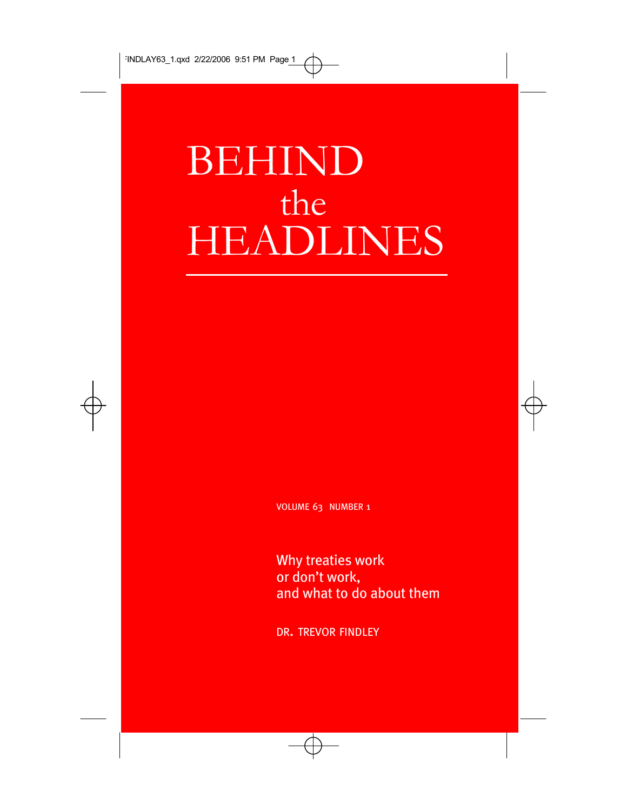# BEHIND the HEADLINES

VOLUME 63 NUMBER 1

Why treaties work or don't work, and what to do about them

DR. TREVOR FINDLEY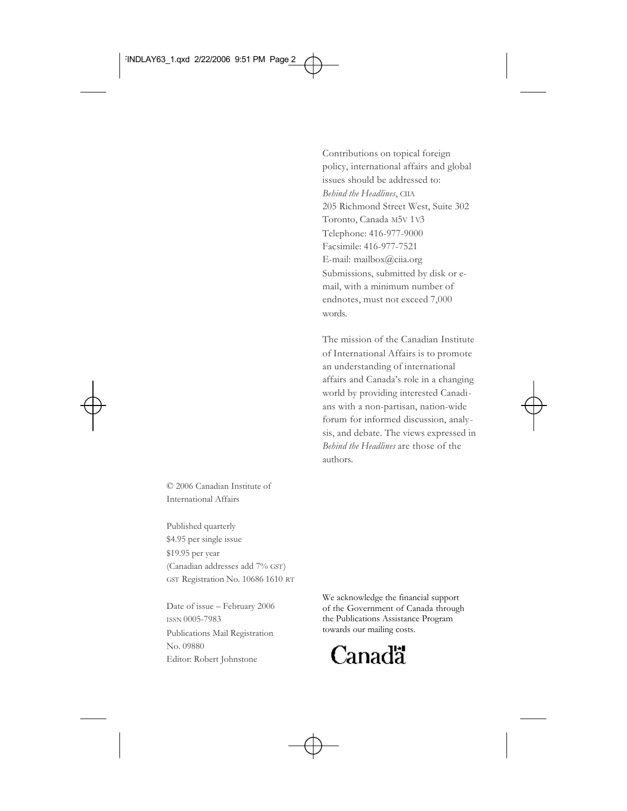Contributions on topical foreign policy, international affairs and global issues should be addressed to: *Behind the Headlines*, CIIA 205 Richmond Street West, Suite 302 Toronto, Canada M5V 1V3 Telephone: 416-977-9000 Facsimile: 416-977-7521 E-mail: mailbox@ciia.org Submissions, submitted by disk or email, with a minimum number of endnotes, must not exceed 7,000 words.

The mission of the Canadian Institute of International Affairs is to promote an understanding of international affairs and Canada's role in a changing world by providing interested Canadians with a non-partisan, nation-wide forum for informed discussion, analysis, and debate. The views expressed in *Behind the Headlines* are those of the authors.

© 2006 Canadian Institute of International Affairs

Published quarterly \$4.95 per single issue \$19.95 per year (Canadian addresses add 7% GST) GST Registration No. 10686 1610 RT

Date of issue – February 2006 ISSN 0005-7983 Publications Mail Registration No. 09880 Editor: Robert Johnstone

We acknowledge the financial support of the Government of Canada through the Publications Assistance Program towards our mailing costs.

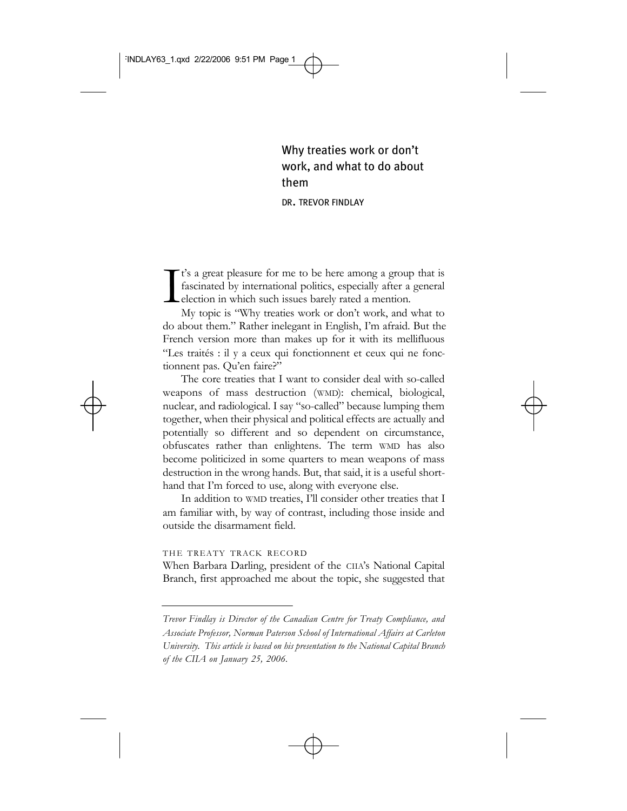Why treaties work or don't work, and what to do about them

DR. TREVOR FINDLAY

I t's a great pleasure for me to be here among a group that is fascinated by international politics, especially after a general election in which such issues barely rated a mention.

My topic is "Why treaties work or don't work, and what to do about them." Rather inelegant in English, I'm afraid. But the French version more than makes up for it with its mellifluous "Les traités : il y a ceux qui fonctionnent et ceux qui ne fonctionnent pas. Qu'en faire?"

The core treaties that I want to consider deal with so-called weapons of mass destruction (WMD): chemical, biological, nuclear, and radiological. I say "so-called" because lumping them together, when their physical and political effects are actually and potentially so different and so dependent on circumstance, obfuscates rather than enlightens. The term WMD has also become politicized in some quarters to mean weapons of mass destruction in the wrong hands. But, that said, it is a useful shorthand that I'm forced to use, along with everyone else.

In addition to WMD treaties, I'll consider other treaties that I am familiar with, by way of contrast, including those inside and outside the disarmament field.

## THE TREATY TRACK RECORD

When Barbara Darling, president of the CIIA's National Capital Branch, first approached me about the topic, she suggested that

*Trevor Findlay is Director of the Canadian Centre for Treaty Compliance, and Associate Professor, Norman Paterson School of International Affairs at Carleton University. This article is based on his presentation to the National Capital Branch of the CIIA on January 25, 2006.*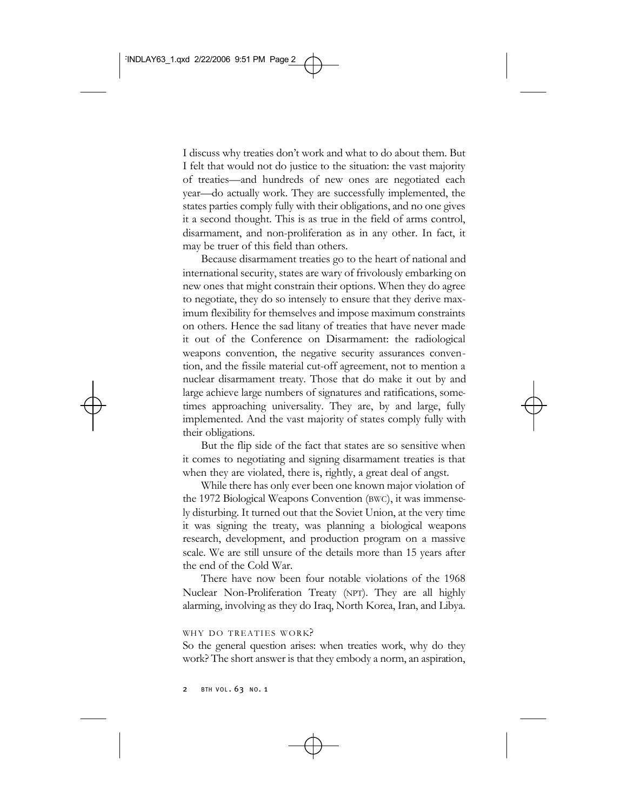I discuss why treaties don't work and what to do about them. But I felt that would not do justice to the situation: the vast majority of treaties—and hundreds of new ones are negotiated each year—do actually work. They are successfully implemented, the states parties comply fully with their obligations, and no one gives it a second thought. This is as true in the field of arms control, disarmament, and non-proliferation as in any other. In fact, it may be truer of this field than others.

Because disarmament treaties go to the heart of national and international security, states are wary of frivolously embarking on new ones that might constrain their options. When they do agree to negotiate, they do so intensely to ensure that they derive maximum flexibility for themselves and impose maximum constraints on others. Hence the sad litany of treaties that have never made it out of the Conference on Disarmament: the radiological weapons convention, the negative security assurances convention, and the fissile material cut-off agreement, not to mention a nuclear disarmament treaty. Those that do make it out by and large achieve large numbers of signatures and ratifications, sometimes approaching universality. They are, by and large, fully implemented. And the vast majority of states comply fully with their obligations.

But the flip side of the fact that states are so sensitive when it comes to negotiating and signing disarmament treaties is that when they are violated, there is, rightly, a great deal of angst.

While there has only ever been one known major violation of the 1972 Biological Weapons Convention (BWC), it was immensely disturbing. It turned out that the Soviet Union, at the very time it was signing the treaty, was planning a biological weapons research, development, and production program on a massive scale. We are still unsure of the details more than 15 years after the end of the Cold War.

There have now been four notable violations of the 1968 Nuclear Non-Proliferation Treaty (NPT). They are all highly alarming, involving as they do Iraq, North Korea, Iran, and Libya.

#### WHY DO TREATIES WORK?

So the general question arises: when treaties work, why do they work? The short answer is that they embody a norm, an aspiration,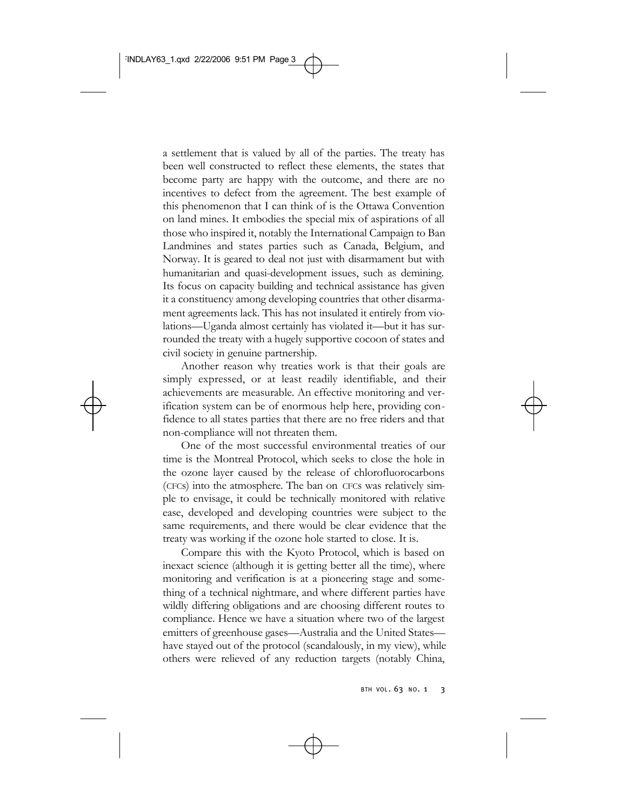a settlement that is valued by all of the parties. The treaty has been well constructed to reflect these elements, the states that become party are happy with the outcome, and there are no incentives to defect from the agreement. The best example of this phenomenon that I can think of is the Ottawa Convention on land mines. It embodies the special mix of aspirations of all those who inspired it, notably the International Campaign to Ban Landmines and states parties such as Canada, Belgium, and Norway. It is geared to deal not just with disarmament but with humanitarian and quasi-development issues, such as demining. Its focus on capacity building and technical assistance has given it a constituency among developing countries that other disarmament agreements lack. This has not insulated it entirely from violations—Uganda almost certainly has violated it—but it has surrounded the treaty with a hugely supportive cocoon of states and civil society in genuine partnership.

Another reason why treaties work is that their goals are simply expressed, or at least readily identifiable, and their achievements are measurable. An effective monitoring and verification system can be of enormous help here, providing confidence to all states parties that there are no free riders and that non-compliance will not threaten them.

One of the most successful environmental treaties of our time is the Montreal Protocol, which seeks to close the hole in the ozone layer caused by the release of chlorofluorocarbons (CFCs) into the atmosphere. The ban on CFCs was relatively simple to envisage, it could be technically monitored with relative ease, developed and developing countries were subject to the same requirements, and there would be clear evidence that the treaty was working if the ozone hole started to close. It is.

Compare this with the Kyoto Protocol, which is based on inexact science (although it is getting better all the time), where monitoring and verification is at a pioneering stage and something of a technical nightmare, and where different parties have wildly differing obligations and are choosing different routes to compliance. Hence we have a situation where two of the largest emitters of greenhouse gases—Australia and the United States have stayed out of the protocol (scandalously, in my view), while others were relieved of any reduction targets (notably China,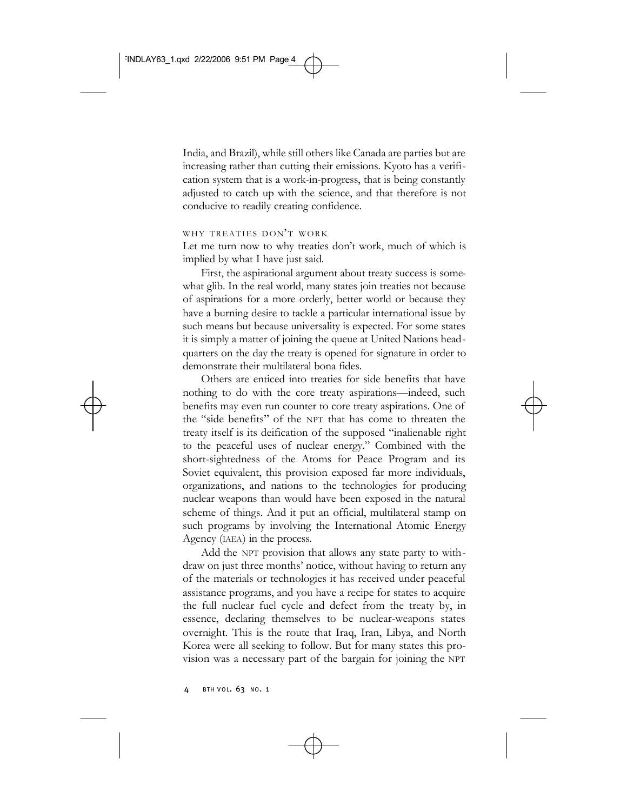India, and Brazil), while still others like Canada are parties but are increasing rather than cutting their emissions. Kyoto has a verification system that is a work-in-progress, that is being constantly adjusted to catch up with the science, and that therefore is not conducive to readily creating confidence.

# WHY TREATIES DON'T WORK

Let me turn now to why treaties don't work, much of which is implied by what I have just said.

First, the aspirational argument about treaty success is somewhat glib. In the real world, many states join treaties not because of aspirations for a more orderly, better world or because they have a burning desire to tackle a particular international issue by such means but because universality is expected. For some states it is simply a matter of joining the queue at United Nations headquarters on the day the treaty is opened for signature in order to demonstrate their multilateral bona fides.

Others are enticed into treaties for side benefits that have nothing to do with the core treaty aspirations—indeed, such benefits may even run counter to core treaty aspirations. One of the "side benefits" of the NPT that has come to threaten the treaty itself is its deification of the supposed "inalienable right to the peaceful uses of nuclear energy." Combined with the short-sightedness of the Atoms for Peace Program and its Soviet equivalent, this provision exposed far more individuals, organizations, and nations to the technologies for producing nuclear weapons than would have been exposed in the natural scheme of things. And it put an official, multilateral stamp on such programs by involving the International Atomic Energy Agency (IAEA) in the process.

Add the NPT provision that allows any state party to withdraw on just three months' notice, without having to return any of the materials or technologies it has received under peaceful assistance programs, and you have a recipe for states to acquire the full nuclear fuel cycle and defect from the treaty by, in essence, declaring themselves to be nuclear-weapons states overnight. This is the route that Iraq, Iran, Libya, and North Korea were all seeking to follow. But for many states this provision was a necessary part of the bargain for joining the NPT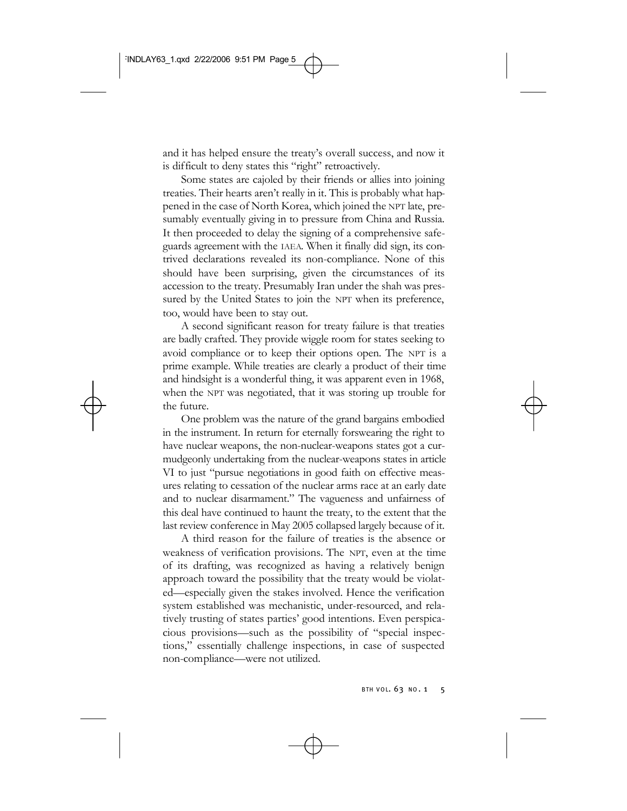and it has helped ensure the treaty's overall success, and now it is difficult to deny states this "right" retroactively.

Some states are cajoled by their friends or allies into joining treaties. Their hearts aren't really in it. This is probably what happened in the case of North Korea, which joined the NPT late, presumably eventually giving in to pressure from China and Russia. It then proceeded to delay the signing of a comprehensive safeguards agreement with the IAEA. When it finally did sign, its contrived declarations revealed its non-compliance. None of this should have been surprising, given the circumstances of its accession to the treaty. Presumably Iran under the shah was pressured by the United States to join the NPT when its preference, too, would have been to stay out.

A second significant reason for treaty failure is that treaties are badly crafted. They provide wiggle room for states seeking to avoid compliance or to keep their options open. The NPT is a prime example. While treaties are clearly a product of their time and hindsight is a wonderful thing, it was apparent even in 1968, when the NPT was negotiated, that it was storing up trouble for the future.

One problem was the nature of the grand bargains embodied in the instrument. In return for eternally forswearing the right to have nuclear weapons, the non-nuclear-weapons states got a curmudgeonly undertaking from the nuclear-weapons states in article VI to just "pursue negotiations in good faith on effective measures relating to cessation of the nuclear arms race at an early date and to nuclear disarmament." The vagueness and unfairness of this deal have continued to haunt the treaty, to the extent that the last review conference in May 2005 collapsed largely because of it.

A third reason for the failure of treaties is the absence or weakness of verification provisions. The NPT, even at the time of its drafting, was recognized as having a relatively benign approach toward the possibility that the treaty would be violated—especially given the stakes involved. Hence the verification system established was mechanistic, under-resourced, and relatively trusting of states parties' good intentions. Even perspicacious provisions—such as the possibility of "special inspections," essentially challenge inspections, in case of suspected non-compliance—were not utilized.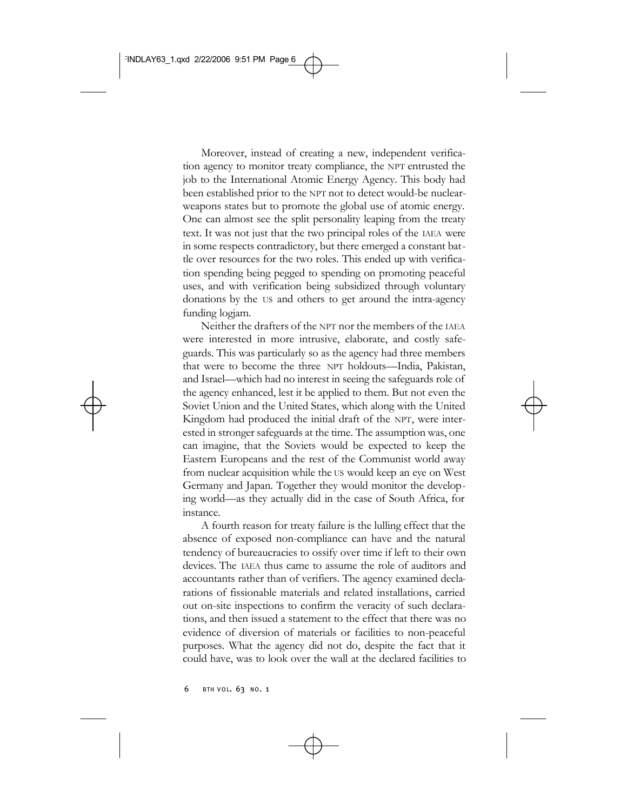Moreover, instead of creating a new, independent verification agency to monitor treaty compliance, the NPT entrusted the job to the International Atomic Energy Agency. This body had been established prior to the NPT not to detect would-be nuclearweapons states but to promote the global use of atomic energy. One can almost see the split personality leaping from the treaty text. It was not just that the two principal roles of the IAEA were in some respects contradictory, but there emerged a constant battle over resources for the two roles. This ended up with verification spending being pegged to spending on promoting peaceful uses, and with verification being subsidized through voluntary donations by the US and others to get around the intra-agency funding logjam.

Neither the drafters of the NPT nor the members of the IAEA were interested in more intrusive, elaborate, and costly safeguards. This was particularly so as the agency had three members that were to become the three NPT holdouts—India, Pakistan, and Israel—which had no interest in seeing the safeguards role of the agency enhanced, lest it be applied to them. But not even the Soviet Union and the United States, which along with the United Kingdom had produced the initial draft of the NPT, were interested in stronger safeguards at the time. The assumption was, one can imagine, that the Soviets would be expected to keep the Eastern Europeans and the rest of the Communist world away from nuclear acquisition while the US would keep an eye on West Germany and Japan. Together they would monitor the developing world—as they actually did in the case of South Africa, for instance.

A fourth reason for treaty failure is the lulling effect that the absence of exposed non-compliance can have and the natural tendency of bureaucracies to ossify over time if left to their own devices. The IAEA thus came to assume the role of auditors and accountants rather than of verifiers. The agency examined declarations of fissionable materials and related installations, carried out on-site inspections to confirm the veracity of such declarations, and then issued a statement to the effect that there was no evidence of diversion of materials or facilities to non-peaceful purposes. What the agency did not do, despite the fact that it could have, was to look over the wall at the declared facilities to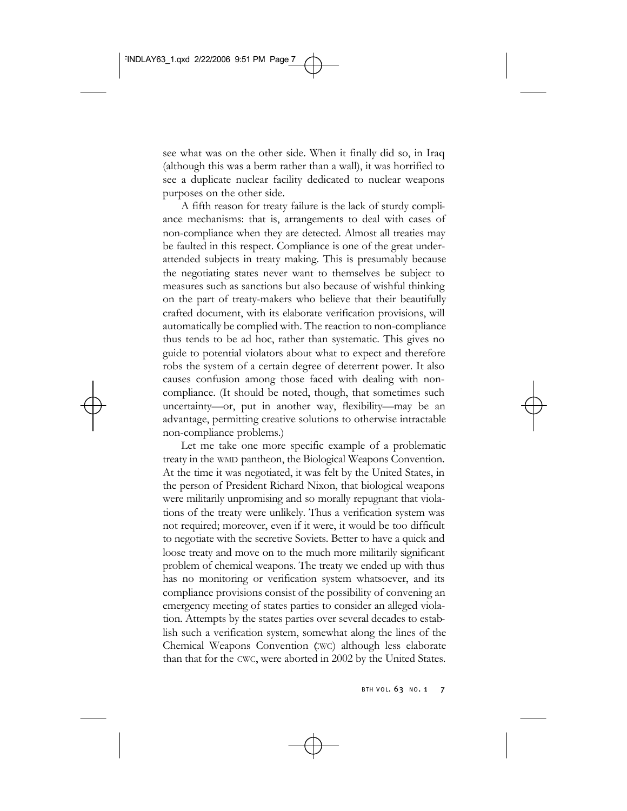see what was on the other side. When it finally did so, in Iraq (although this was a berm rather than a wall), it was horrified to see a duplicate nuclear facility dedicated to nuclear weapons purposes on the other side.

A fifth reason for treaty failure is the lack of sturdy compliance mechanisms: that is, arrangements to deal with cases of non-compliance when they are detected. Almost all treaties may be faulted in this respect. Compliance is one of the great underattended subjects in treaty making. This is presumably because the negotiating states never want to themselves be subject to measures such as sanctions but also because of wishful thinking on the part of treaty-makers who believe that their beautifully crafted document, with its elaborate verification provisions, will automatically be complied with. The reaction to non-compliance thus tends to be ad hoc, rather than systematic. This gives no guide to potential violators about what to expect and therefore robs the system of a certain degree of deterrent power. It also causes confusion among those faced with dealing with noncompliance. (It should be noted, though, that sometimes such uncertainty—or, put in another way, flexibility—may be an advantage, permitting creative solutions to otherwise intractable non-compliance problems.)

Let me take one more specific example of a problematic treaty in the WMD pantheon, the Biological Weapons Convention. At the time it was negotiated, it was felt by the United States, in the person of President Richard Nixon, that biological weapons were militarily unpromising and so morally repugnant that violations of the treaty were unlikely. Thus a verification system was not required; moreover, even if it were, it would be too difficult to negotiate with the secretive Soviets. Better to have a quick and loose treaty and move on to the much more militarily significant problem of chemical weapons. The treaty we ended up with thus has no monitoring or verification system whatsoever, and its compliance provisions consist of the possibility of convening an emergency meeting of states parties to consider an alleged violation. Attempts by the states parties over several decades to establish such a verification system, somewhat along the lines of the Chemical Weapons Convention (CWC) although less elaborate than that for the CWC, were aborted in 2002 by the United States.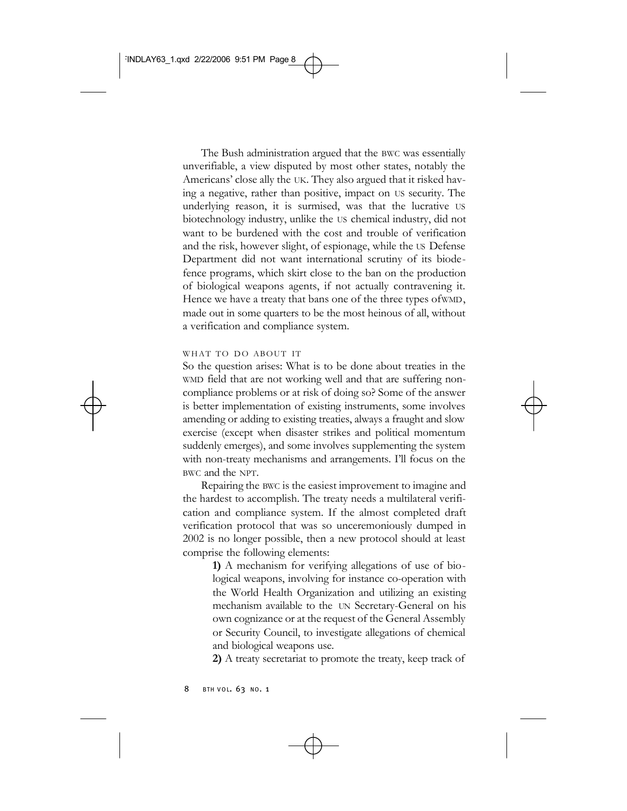The Bush administration argued that the BWC was essentially unverifiable, a view disputed by most other states, notably the Americans' close ally the UK. They also argued that it risked having a negative, rather than positive, impact on US security. The underlying reason, it is surmised, was that the lucrative US biotechnology industry, unlike the US chemical industry, did not want to be burdened with the cost and trouble of verification and the risk, however slight, of espionage, while the US Defense Department did not want international scrutiny of its biodefence programs, which skirt close to the ban on the production of biological weapons agents, if not actually contravening it. Hence we have a treaty that bans one of the three types of WMD, made out in some quarters to be the most heinous of all, without a verification and compliance system.

## WHAT TO DO ABOUT IT

So the question arises: What is to be done about treaties in the WMD field that are not working well and that are suffering noncompliance problems or at risk of doing so? Some of the answer is better implementation of existing instruments, some involves amending or adding to existing treaties, always a fraught and slow exercise (except when disaster strikes and political momentum suddenly emerges), and some involves supplementing the system with non-treaty mechanisms and arrangements. I'll focus on the BWC and the NPT.

Repairing the BWC is the easiest improvement to imagine and the hardest to accomplish. The treaty needs a multilateral verification and compliance system. If the almost completed draft verification protocol that was so unceremoniously dumped in 2002 is no longer possible, then a new protocol should at least comprise the following elements:

> **1)** A mechanism for verifying allegations of use of biological weapons, involving for instance co-operation with the World Health Organization and utilizing an existing mechanism available to the UN Secretary-General on his own cognizance or at the request of the General Assembly or Security Council, to investigate allegations of chemical and biological weapons use.

> **2)** A treaty secretariat to promote the treaty, keep track of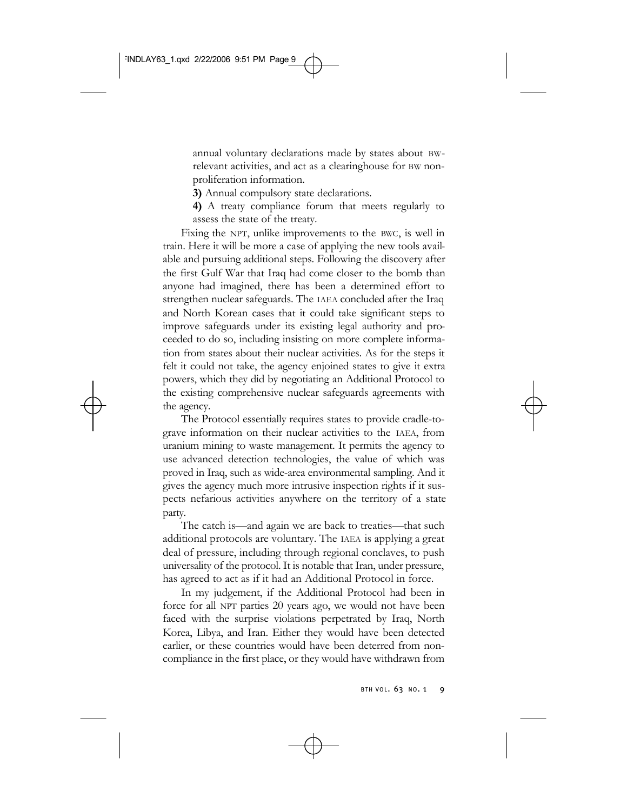annual voluntary declarations made by states about BWrelevant activities, and act as a clearinghouse for BW nonproliferation information.

**3)** Annual compulsory state declarations.

**4)** A treaty compliance forum that meets regularly to assess the state of the treaty.

Fixing the NPT, unlike improvements to the BWC, is well in train. Here it will be more a case of applying the new tools available and pursuing additional steps. Following the discovery after the first Gulf War that Iraq had come closer to the bomb than anyone had imagined, there has been a determined effort to strengthen nuclear safeguards. The IAEA concluded after the Iraq and North Korean cases that it could take significant steps to improve safeguards under its existing legal authority and proceeded to do so, including insisting on more complete information from states about their nuclear activities. As for the steps it felt it could not take, the agency enjoined states to give it extra powers, which they did by negotiating an Additional Protocol to the existing comprehensive nuclear safeguards agreements with the agency.

The Protocol essentially requires states to provide cradle-tograve information on their nuclear activities to the IAEA, from uranium mining to waste management. It permits the agency to use advanced detection technologies, the value of which was proved in Iraq, such as wide-area environmental sampling. And it gives the agency much more intrusive inspection rights if it suspects nefarious activities anywhere on the territory of a state party.

The catch is—and again we are back to treaties—that such additional protocols are voluntary. The IAEA is applying a great deal of pressure, including through regional conclaves, to push universality of the protocol. It is notable that Iran, under pressure, has agreed to act as if it had an Additional Protocol in force.

In my judgement, if the Additional Protocol had been in force for all NPT parties 20 years ago, we would not have been faced with the surprise violations perpetrated by Iraq, North Korea, Libya, and Iran. Either they would have been detected earlier, or these countries would have been deterred from noncompliance in the first place, or they would have withdrawn from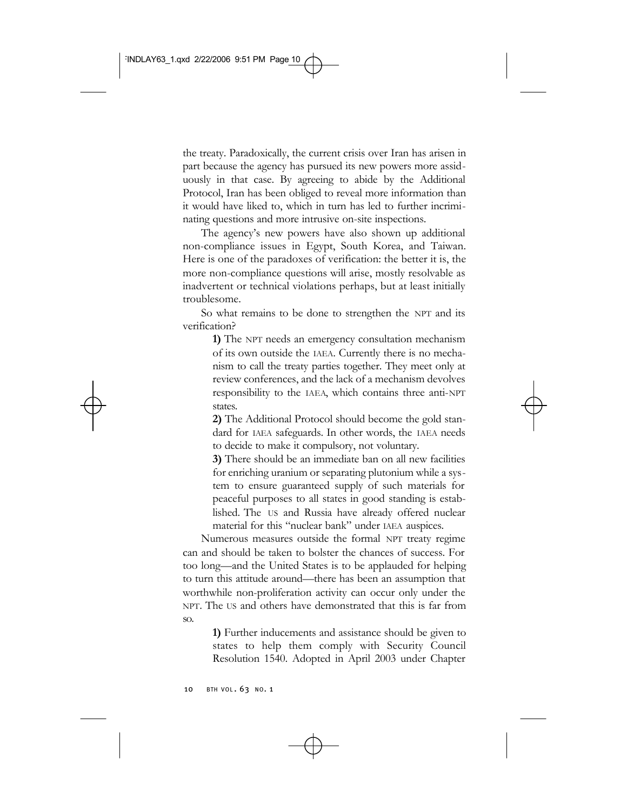the treaty. Paradoxically, the current crisis over Iran has arisen in part because the agency has pursued its new powers more assiduously in that case. By agreeing to abide by the Additional Protocol, Iran has been obliged to reveal more information than it would have liked to, which in turn has led to further incriminating questions and more intrusive on-site inspections.

The agency's new powers have also shown up additional non-compliance issues in Egypt, South Korea, and Taiwan. Here is one of the paradoxes of verification: the better it is, the more non-compliance questions will arise, mostly resolvable as inadvertent or technical violations perhaps, but at least initially troublesome.

So what remains to be done to strengthen the NPT and its verification?

> **1)** The NPT needs an emergency consultation mechanism of its own outside the IAEA. Currently there is no mechanism to call the treaty parties together. They meet only at review conferences, and the lack of a mechanism devolves responsibility to the IAEA, which contains three anti-NPT states.

> **2)** The Additional Protocol should become the gold standard for IAEA safeguards. In other words, the IAEA needs to decide to make it compulsory, not voluntary.

> **3)** There should be an immediate ban on all new facilities for enriching uranium or separating plutonium while a system to ensure guaranteed supply of such materials for peaceful purposes to all states in good standing is established. The US and Russia have already offered nuclear material for this "nuclear bank" under IAEA auspices.

Numerous measures outside the formal NPT treaty regime can and should be taken to bolster the chances of success. For too long—and the United States is to be applauded for helping to turn this attitude around—there has been an assumption that worthwhile non-proliferation activity can occur only under the NPT. The US and others have demonstrated that this is far from so.

> **1)** Further inducements and assistance should be given to states to help them comply with Security Council Resolution 1540. Adopted in April 2003 under Chapter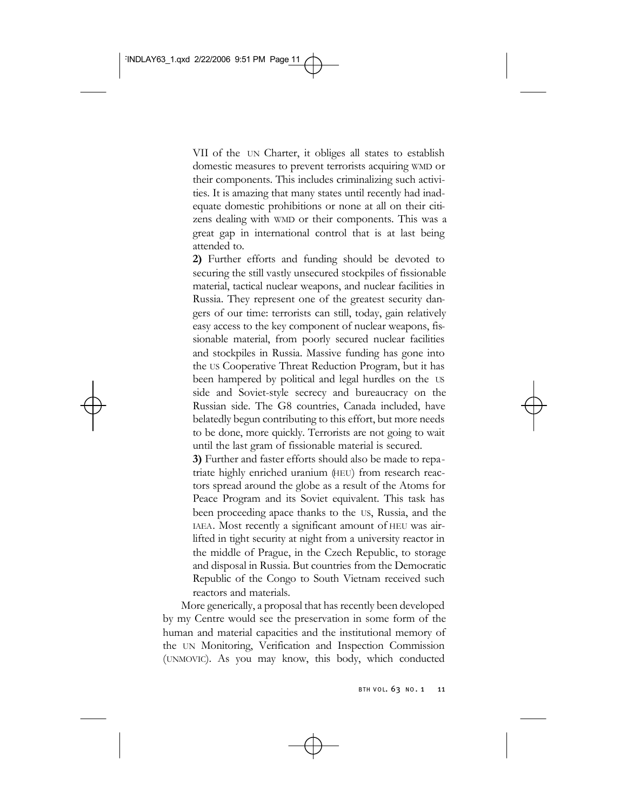VII of the UN Charter, it obliges all states to establish domestic measures to prevent terrorists acquiring WMD or their components. This includes criminalizing such activities. It is amazing that many states until recently had inadequate domestic prohibitions or none at all on their citizens dealing with WMD or their components. This was a great gap in international control that is at last being attended to.

**2)** Further efforts and funding should be devoted to securing the still vastly unsecured stockpiles of fissionable material, tactical nuclear weapons, and nuclear facilities in Russia. They represent one of the greatest security dangers of our time: terrorists can still, today, gain relatively easy access to the key component of nuclear weapons, fissionable material, from poorly secured nuclear facilities and stockpiles in Russia. Massive funding has gone into the US Cooperative Threat Reduction Program, but it has been hampered by political and legal hurdles on the US side and Soviet-style secrecy and bureaucracy on the Russian side. The G8 countries, Canada included, have belatedly begun contributing to this effort, but more needs to be done, more quickly. Terrorists are not going to wait until the last gram of fissionable material is secured.

**3)** Further and faster efforts should also be made to repatriate highly enriched uranium (HEU) from research reactors spread around the globe as a result of the Atoms for Peace Program and its Soviet equivalent. This task has been proceeding apace thanks to the US, Russia, and the IAEA. Most recently a significant amount of HEU was airlifted in tight security at night from a university reactor in the middle of Prague, in the Czech Republic, to storage and disposal in Russia. But countries from the Democratic Republic of the Congo to South Vietnam received such reactors and materials.

More generically, a proposal that has recently been developed by my Centre would see the preservation in some form of the human and material capacities and the institutional memory of the UN Monitoring, Verification and Inspection Commission (UNMOVIC). As you may know, this body, which conducted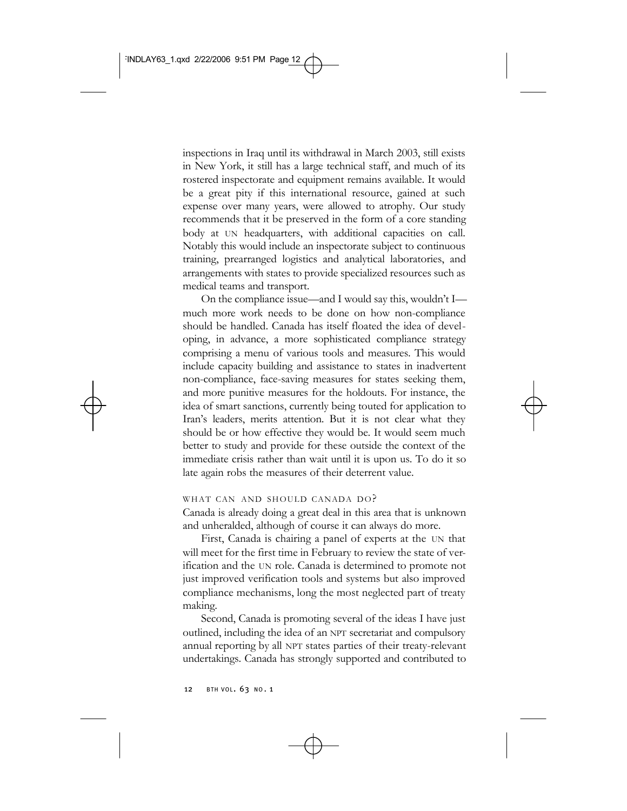inspections in Iraq until its withdrawal in March 2003, still exists in New York, it still has a large technical staff, and much of its rostered inspectorate and equipment remains available. It would be a great pity if this international resource, gained at such expense over many years, were allowed to atrophy. Our study recommends that it be preserved in the form of a core standing body at UN headquarters, with additional capacities on call. Notably this would include an inspectorate subject to continuous training, prearranged logistics and analytical laboratories, and arrangements with states to provide specialized resources such as medical teams and transport.

On the compliance issue—and I would say this, wouldn't I much more work needs to be done on how non-compliance should be handled. Canada has itself floated the idea of developing, in advance, a more sophisticated compliance strategy comprising a menu of various tools and measures. This would include capacity building and assistance to states in inadvertent non-compliance, face-saving measures for states seeking them, and more punitive measures for the holdouts. For instance, the idea of smart sanctions, currently being touted for application to Iran's leaders, merits attention. But it is not clear what they should be or how effective they would be. It would seem much better to study and provide for these outside the context of the immediate crisis rather than wait until it is upon us. To do it so late again robs the measures of their deterrent value.

#### WHAT CAN AND SHOULD CANADA DO?

Canada is already doing a great deal in this area that is unknown and unheralded, although of course it can always do more.

First, Canada is chairing a panel of experts at the UN that will meet for the first time in February to review the state of verification and the UN role. Canada is determined to promote not just improved verification tools and systems but also improved compliance mechanisms, long the most neglected part of treaty making.

Second, Canada is promoting several of the ideas I have just outlined, including the idea of an NPT secretariat and compulsory annual reporting by all NPT states parties of their treaty-relevant undertakings. Canada has strongly supported and contributed to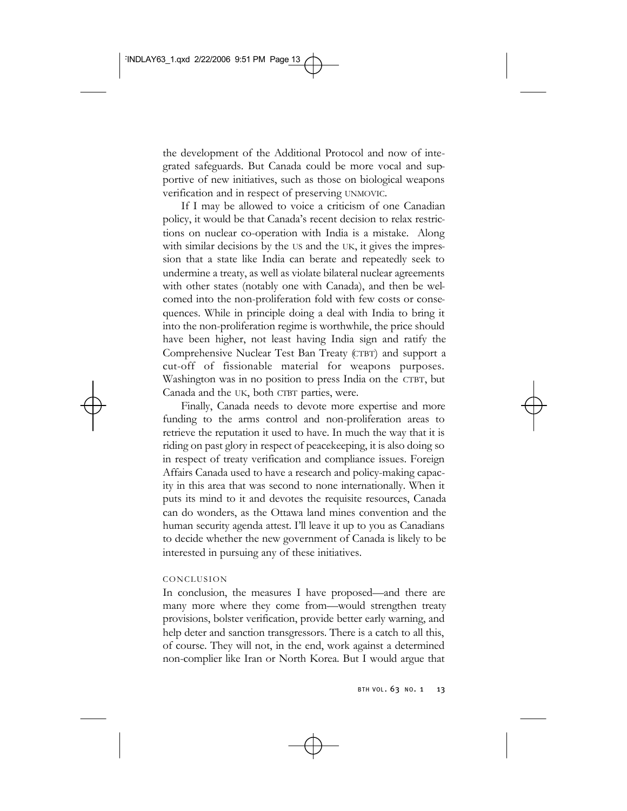the development of the Additional Protocol and now of integrated safeguards. But Canada could be more vocal and supportive of new initiatives, such as those on biological weapons verification and in respect of preserving UNMOVIC.

If I may be allowed to voice a criticism of one Canadian policy, it would be that Canada's recent decision to relax restrictions on nuclear co-operation with India is a mistake. Along with similar decisions by the US and the UK, it gives the impression that a state like India can berate and repeatedly seek to undermine a treaty, as well as violate bilateral nuclear agreements with other states (notably one with Canada), and then be welcomed into the non-proliferation fold with few costs or consequences. While in principle doing a deal with India to bring it into the non-proliferation regime is worthwhile, the price should have been higher, not least having India sign and ratify the Comprehensive Nuclear Test Ban Treaty (CTBT) and support a cut-off of fissionable material for weapons purposes. Washington was in no position to press India on the CTBT, but Canada and the UK, both CTBT parties, were.

Finally, Canada needs to devote more expertise and more funding to the arms control and non-proliferation areas to retrieve the reputation it used to have. In much the way that it is riding on past glory in respect of peacekeeping, it is also doing so in respect of treaty verification and compliance issues. Foreign Affairs Canada used to have a research and policy-making capacity in this area that was second to none internationally. When it puts its mind to it and devotes the requisite resources, Canada can do wonders, as the Ottawa land mines convention and the human security agenda attest. I'll leave it up to you as Canadians to decide whether the new government of Canada is likely to be interested in pursuing any of these initiatives.

#### CONCLUSION

In conclusion, the measures I have proposed—and there are many more where they come from—would strengthen treaty provisions, bolster verification, provide better early warning, and help deter and sanction transgressors. There is a catch to all this, of course. They will not, in the end, work against a determined non-complier like Iran or North Korea. But I would argue that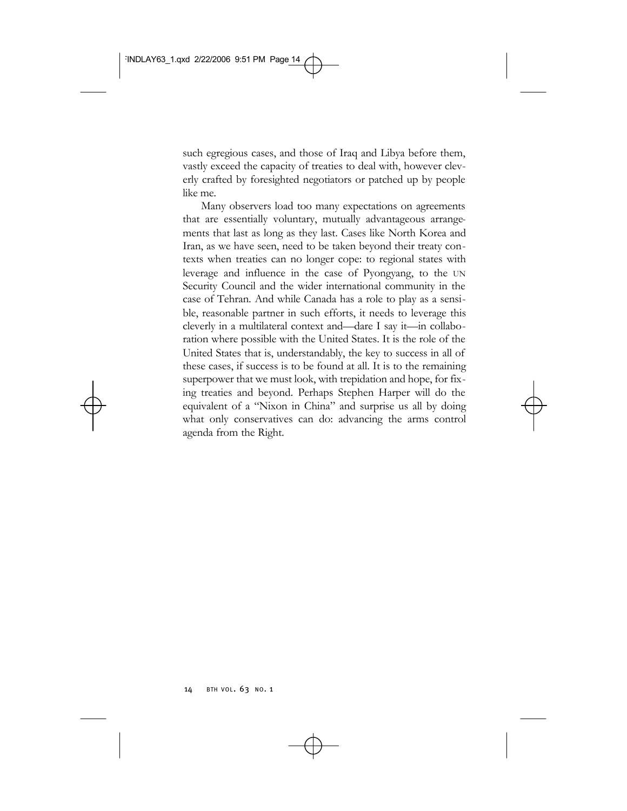such egregious cases, and those of Iraq and Libya before them, vastly exceed the capacity of treaties to deal with, however cleverly crafted by foresighted negotiators or patched up by people like me.

Many observers load too many expectations on agreements that are essentially voluntary, mutually advantageous arrangements that last as long as they last. Cases like North Korea and Iran, as we have seen, need to be taken beyond their treaty contexts when treaties can no longer cope: to regional states with leverage and influence in the case of Pyongyang, to the UN Security Council and the wider international community in the case of Tehran. And while Canada has a role to play as a sensible, reasonable partner in such efforts, it needs to leverage this cleverly in a multilateral context and—dare I say it—in collaboration where possible with the United States. It is the role of the United States that is, understandably, the key to success in all of these cases, if success is to be found at all. It is to the remaining superpower that we must look, with trepidation and hope, for fixing treaties and beyond. Perhaps Stephen Harper will do the equivalent of a "Nixon in China" and surprise us all by doing what only conservatives can do: advancing the arms control agenda from the Right.